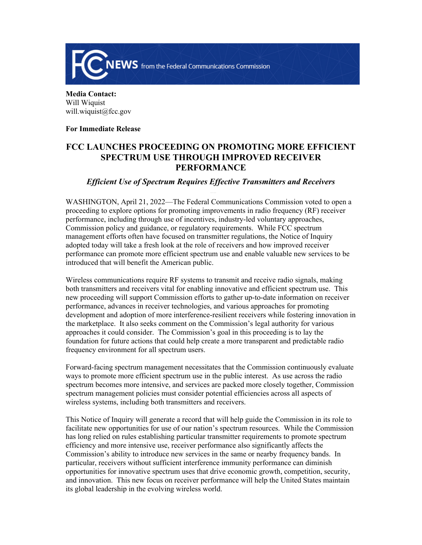

**Media Contact:**  Will Wiquist will.wiquist@fcc.gov

## **For Immediate Release**

## **FCC LAUNCHES PROCEEDING ON PROMOTING MORE EFFICIENT SPECTRUM USE THROUGH IMPROVED RECEIVER PERFORMANCE**

## *Efficient Use of Spectrum Requires Effective Transmitters and Receivers*

WASHINGTON, April 21, 2022—The Federal Communications Commission voted to open a proceeding to explore options for promoting improvements in radio frequency (RF) receiver performance, including through use of incentives, industry-led voluntary approaches, Commission policy and guidance, or regulatory requirements. While FCC spectrum management efforts often have focused on transmitter regulations, the Notice of Inquiry adopted today will take a fresh look at the role of receivers and how improved receiver performance can promote more efficient spectrum use and enable valuable new services to be introduced that will benefit the American public.

Wireless communications require RF systems to transmit and receive radio signals, making both transmitters and receivers vital for enabling innovative and efficient spectrum use. This new proceeding will support Commission efforts to gather up-to-date information on receiver performance, advances in receiver technologies, and various approaches for promoting development and adoption of more interference-resilient receivers while fostering innovation in the marketplace. It also seeks comment on the Commission's legal authority for various approaches it could consider. The Commission's goal in this proceeding is to lay the foundation for future actions that could help create a more transparent and predictable radio frequency environment for all spectrum users.

Forward-facing spectrum management necessitates that the Commission continuously evaluate ways to promote more efficient spectrum use in the public interest. As use across the radio spectrum becomes more intensive, and services are packed more closely together, Commission spectrum management policies must consider potential efficiencies across all aspects of wireless systems, including both transmitters and receivers.

This Notice of Inquiry will generate a record that will help guide the Commission in its role to facilitate new opportunities for use of our nation's spectrum resources. While the Commission has long relied on rules establishing particular transmitter requirements to promote spectrum efficiency and more intensive use, receiver performance also significantly affects the Commission's ability to introduce new services in the same or nearby frequency bands. In particular, receivers without sufficient interference immunity performance can diminish opportunities for innovative spectrum uses that drive economic growth, competition, security, and innovation. This new focus on receiver performance will help the United States maintain its global leadership in the evolving wireless world.